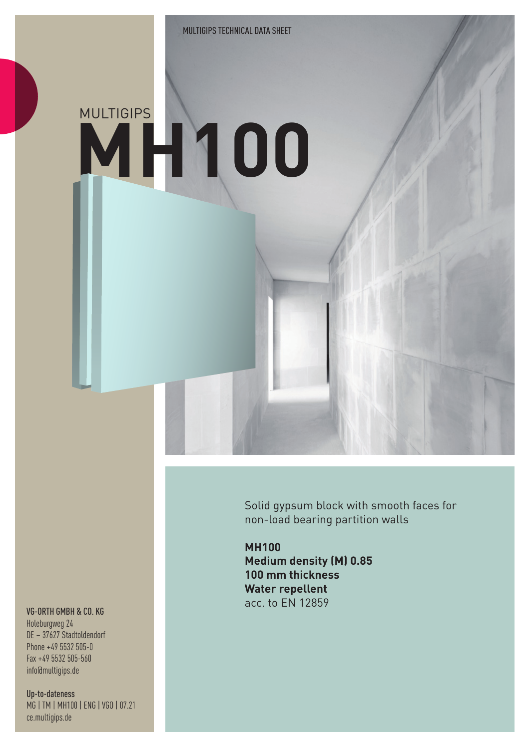## **MH100** MULTIGIPS

Solid gypsum block with smooth faces for non-load bearing partition walls

**MH100 Medium density (M) 0.85 100 mm thickness Water repellent** acc. to EN 12859

## VG-ORTH GMBH & CO. KG

Holeburgweg 24 DE – 37627 Stadtoldendorf Phone +49 5532 505-0 Fax +49 5532 505-560 info@multigips.de

Up-to-dateness MG | TM | MH100 | ENG | VGO | 07.21 ce.multigips.de